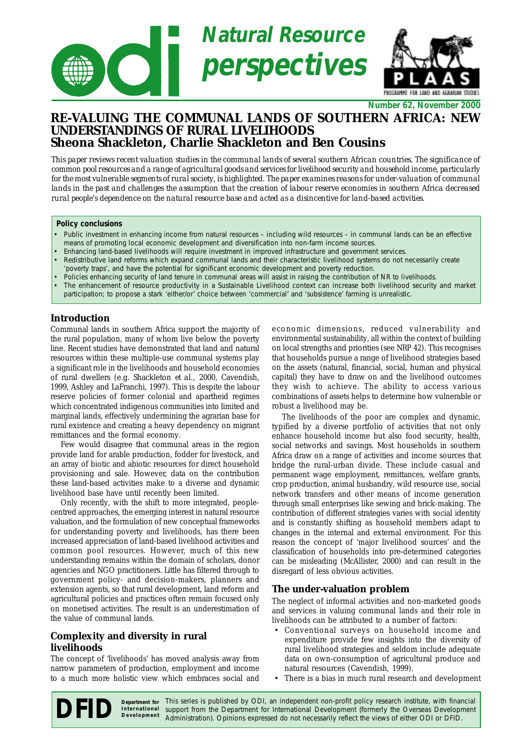

**Number 62, November 2000**

# **RE-VALUING THE COMMUNAL LANDS OF SOUTHERN AFRICA: NEW UNDERSTANDINGS OF RURAL LIVELIHOODS Sheona Shackleton, Charlie Shackleton and Ben Cousins**

*This paper reviews recent valuation studies in the communal lands of several southern African countries. The significance of common pool resources and a range of agricultural goods and services for livelihood security and household income, particularly for the most vulnerable segments of rural society, is highlighted. The paper examines reasons for under-valuation of communal lands in the past and challenges the assumption that the creation of labour reserve economies in southern Africa decreased rural people's dependence on the natural resource base and acted as a disincentive for land-based activities.*

#### **Policy conclusions**

- Public investment in enhancing income from natural resources including wild resources in communal lands can be an effective means of promoting local economic development and diversification into non-farm income sources.
- Enhancing land-based livelihoods will require investment in improved infrastructure and government services.
- Redistributive land reforms which expand communal lands and their characteristic livelihood systems do not necessarily create 'poverty traps', and have the potential for significant economic development and poverty reduction.
- Policies enhancing security of land tenure in communal areas will assist in raising the contribution of NR to livelihoods.
- The enhancement of resource productivity in a Sustainable Livelihood context can increase both livelihood security and market participation; to propose a stark 'either/or' choice between 'commercial' and 'subsistence' farming is unrealistic.

## **Introduction**

Communal lands in southern Africa support the majority of the rural population, many of whom live below the poverty line. Recent studies have demonstrated that land and natural resources within these multiple-use communal systems play a significant role in the livelihoods and household economies of rural dwellers (e.g. Shackleton *et al.,* 2000, Cavendish, 1999, Ashley and LaFranchi, 1997). This is despite the labour reserve policies of former colonial and apartheid regimes which concentrated indigenous communities into limited and marginal lands, effectively undermining the agrarian base for rural existence and creating a heavy dependency on migrant remittances and the formal economy.

Few would disagree that communal areas in the region provide land for arable production, fodder for livestock, and an array of biotic and abiotic resources for direct household provisioning and sale. However, data on the contribution these land-based activities make to a diverse and dynamic livelihood base have until recently been limited.

Only recently, with the shift to more integrated, peoplecentred approaches, the emerging interest in natural resource valuation, and the formulation of new conceptual frameworks for understanding poverty and livelihoods, has there been increased appreciation of land-based livelihood activities and common pool resources. However, much of this new understanding remains within the domain of scholars, donor agencies and NGO practitioners. Little has filtered through to government policy- and decision-makers, planners and extension agents, so that rural development, land reform and agricultural policies and practices often remain focused only on monetised activities. The result is an underestimation of the value of communal lands.

# **Complexity and diversity in rural livelihoods**

The concept of 'livelihoods' has moved analysis away from narrow parameters of production, employment and income to a much more holistic view which embraces social and

economic dimensions, reduced vulnerability and environmental sustainability, all within the context of building on local strengths and priorities (see NRP 42). This recognises that households pursue a range of livelihood strategies based on the assets (natural, financial, social, human and physical capital) they have to draw on and the livelihood outcomes they wish to achieve. The ability to access various combinations of assets helps to determine how vulnerable or robust a livelihood may be.

The livelihoods of the poor are complex and dynamic, typified by a diverse portfolio of activities that not only enhance household income but also food security, health, social networks and savings. Most households in southern Africa draw on a range of activities and income sources that bridge the rural-urban divide. These include casual and permanent wage employment, remittances, welfare grants, crop production, animal husbandry, wild resource use, social network transfers and other means of income generation through small enterprises like sewing and brick-making. The contribution of different strategies varies with social identity and is constantly shifting as household members adapt to changes in the internal and external environment. For this reason the concept of 'major livelihood sources' and the classification of households into pre-determined categories can be misleading (McAllister, 2000) and can result in the disregard of less obvious activities.

## **The under-valuation problem**

The neglect of informal activities and non-marketed goods and services in valuing communal lands and their role in livelihoods can be attributed to a number of factors:

- Conventional surveys on household income and expenditure provide few insights into the diversity of rural livelihood strategies and seldom include adequate data on own-consumption of agricultural produce and natural resources (Cavendish, 1999).
- There is a bias in much rural research and development

Department for This series is published by ODI, an independent non-profit policy research institute, with financial support from the Department for International Development (formerly the Overseas Development Administration). Opinions expressed do not necessarily reflect the views of either ODI or DFID. **International Development**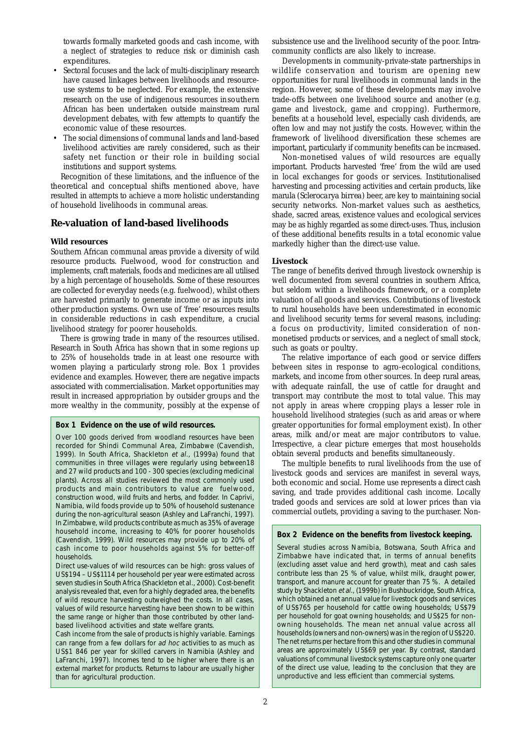towards formally marketed goods and cash income, with a neglect of strategies to reduce risk or diminish cash expenditures.

- Sectoral focuses and the lack of multi-disciplinary research have caused linkages between livelihoods and resourceuse systems to be neglected. For example, the extensive research on the use of indigenous resources insouthern African has been undertaken outside mainstream rural development debates, with few attempts to quantify the economic value of these resources.
- The social dimensions of communal lands and land-based livelihood activities are rarely considered, such as their safety net function or their role in building social institutions and support systems.

Recognition of these limitations, and the influence of the theoretical and conceptual shifts mentioned above, have resulted in attempts to achieve a more holistic understanding of household livelihoods in communal areas.

## **Re-valuation of land-based livelihoods**

#### **Wild resources**

Southern African communal areas provide a diversity of wild resource products. Fuelwood, wood for construction and implements, craft materials, foods and medicines are all utilised by a high percentage of households. Some of these resources are collected for everyday needs (e.g. fuelwood), whilst others are harvested primarily to generate income or as inputs into other production systems. Own use of 'free' resources results in considerable reductions in cash expenditure, a crucial livelihood strategy for poorer households.

There is growing trade in many of the resources utilised. Research in South Africa has shown that in some regions up to 25% of households trade in at least one resource with women playing a particularly strong role. Box 1 provides evidence and examples. However, there are negative impacts associated with commercialisation. Market opportunities may result in increased appropriation by outsider groups and the more wealthy in the community, possibly at the expense of

#### **Box 1 Evidence on the use of wild resources.**

Over 100 goods derived from woodland resources have been recorded for Shindi Communal Area, Zimbabwe (Cavendish, 1999). In South Africa, Shackleton et al., (1999a) found that communities in three villages were regularly using between18 and 27 wild products and 100 - 300 species (excluding medicinal plants). Across all studies reviewed the most commonly used products and main contributors to value are fuelwood, construction wood, wild fruits and herbs, and fodder. In Caprivi, Namibia, wild foods provide up to 50% of household sustenance during the non-agricultural season (Ashley and LaFranchi, 1997). In Zimbabwe, wild products contribute as much as 35% of average household income, increasing to 40% for poorer households (Cavendish, 1999). Wild resources may provide up to 20% of cash income to poor households against 5% for better-off households.

Direct use-values of wild resources can be high: gross values of US\$194 – US\$1114 per household per year were estimated across seven studies in South Africa (Shackleton et al., 2000). Cost-benefit analysis revealed that, even for a highly degraded area, the benefits of wild resource harvesting outweighed the costs. In all cases, values of wild resource harvesting have been shown to be within the same range or higher than those contributed by other landbased livelihood activities and state welfare grants.

Cash income from the sale of products is highly variable. Earnings can range from a few dollars for ad hoc activities to as much as US\$1 846 per year for skilled carvers in Namibia (Ashley and LaFranchi, 1997). Incomes tend to be higher where there is an external market for products. Returns to labour are usually higher than for agricultural production.

subsistence use and the livelihood security of the poor. Intracommunity conflicts are also likely to increase.

Developments in community-private-state partnerships in wildlife conservation and tourism are opening new opportunities for rural livelihoods in communal lands in the region. However, some of these developments may involve trade-offs between one livelihood source and another (e.g. game and livestock, game and cropping). Furthermore, benefits at a household level, especially cash dividends, are often low and may not justify the costs. However, within the framework of livelihood diversification these schemes are important, particularly if community benefits can be increased.

Non-monetised values of wild resources are equally important. Products harvested 'free' from the wild are used in local exchanges for goods or services. Institutionalised harvesting and processing activities and certain products, like marula (*Sclerocarya birrea*) beer, are key to maintaining social security networks. Non-market values such as aesthetics, shade, sacred areas, existence values and ecological services may be as highly regarded as some direct-uses. Thus, inclusion of these additional benefits results in a total economic value markedly higher than the direct-use value.

### **Livestock**

The range of benefits derived through livestock ownership is well documented from several countries in southern Africa, but seldom within a livelihoods framework, or a complete valuation of all goods and services. Contributions of livestock to rural households have been underestimated in economic and livelihood security terms for several reasons, including: a focus on productivity, limited consideration of nonmonetised products or services, and a neglect of small stock, such as goats or poultry.

The relative importance of each good or service differs between sites in response to agro-ecological conditions, markets, and income from other sources. In deep rural areas, with adequate rainfall, the use of cattle for draught and transport may contribute the most to total value. This may not apply in areas where cropping plays a lesser role in household livelihood strategies (such as arid areas or where greater opportunities for formal employment exist). In other areas, milk and/or meat are major contributors to value. Irrespective, a clear picture emerges that most households obtain several products and benefits simultaneously.

The multiple benefits to rural livelihoods from the use of livestock goods and services are manifest in several ways, both economic and social. Home use represents a direct cash saving, and trade provides additional cash income. Locally traded goods and services are sold at lower prices than via commercial outlets, providing a saving to the purchaser. Non-

#### **Box 2 Evidence on the benefits from livestock keeping.**

Several studies across Namibia, Botswana, South Africa and Zimbabwe have indicated that, in terms of annual benefits (excluding asset value and herd growth), meat and cash sales contribute less than 25 % of value, whilst milk, draught power, transport, and manure account for greater than 75 %. A detailed study by Shackleton et al., (1999b) in Bushbuckridge, South Africa, which obtained a net annual value for livestock goods and services of US\$765 per household for cattle owing households; US\$79 per household for goat owning households; and US\$25 for nonowning households. The mean net annual value across all households (owners and non-owners) was in the region of US\$220. The net returns per hectare from this and other studies in communal areas are approximately US\$69 per year. By contrast, standard valuations of communal livestock systems capture only one quarter of the direct use value, leading to the conclusion that they are unproductive and less efficient than commercial systems.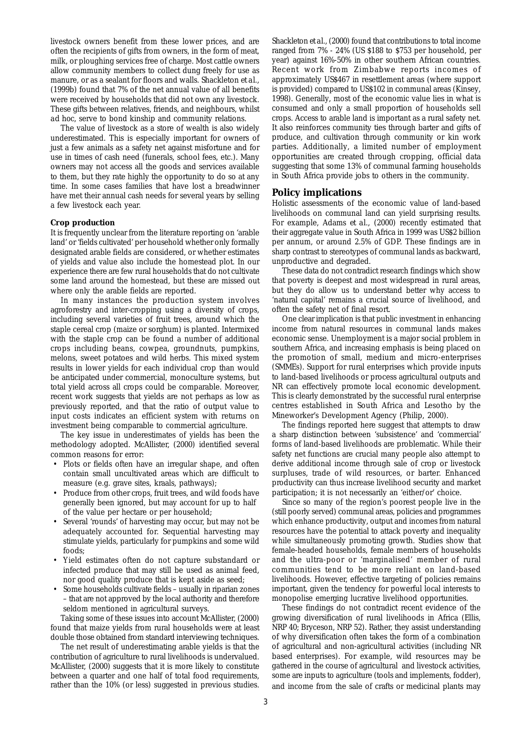livestock owners benefit from these lower prices, and are often the recipients of gifts from owners, in the form of meat, milk, or ploughing services free of charge. Most cattle owners allow community members to collect dung freely for use as manure, or as a sealant for floors and walls. Shackleton *et al*., (1999b) found that 7% of the net annual value of all benefits were received by households that did not own any livestock. These gifts between relatives, friends, and neighbours, whilst *ad hoc*, serve to bond kinship and community relations.

The value of livestock as a store of wealth is also widely underestimated. This is especially important for owners of just a few animals as a safety net against misfortune and for use in times of cash need (funerals, school fees, etc.). Many owners may not access all the goods and services available to them, but they rate highly the opportunity to do so at any time. In some cases families that have lost a breadwinner have met their annual cash needs for several years by selling a few livestock each year.

#### **Crop production**

It is frequently unclear from the literature reporting on 'arable land' or 'fields cultivated' per household whether only formally designated arable fields are considered, or whether estimates of yields and value also include the homestead plot. In our experience there are few rural households that do not cultivate some land around the homestead, but these are missed out where only the arable fields are reported.

In many instances the production system involves agroforestry and inter-cropping using a diversity of crops, including several varieties of fruit trees, around which the staple cereal crop (maize or sorghum) is planted. Intermixed with the staple crop can be found a number of additional crops including beans, cowpea, groundnuts, pumpkins, melons, sweet potatoes and wild herbs. This mixed system results in lower yields for each individual crop than would be anticipated under commercial, monoculture systems, but total yield across all crops could be comparable. Moreover, recent work suggests that yields are not perhaps as low as previously reported, and that the ratio of output value to input costs indicates an efficient system with returns on investment being comparable to commercial agriculture.

The key issue in underestimates of yields has been the methodology adopted. McAllister, (2000) identified several common reasons for error:

- Plots or fields often have an irregular shape, and often contain small uncultivated areas which are difficult to measure (e.g. grave sites, kraals, pathways);
- Produce from other crops, fruit trees, and wild foods have generally been ignored, but may account for up to half of the value per hectare or per household;
- Several 'rounds' of harvesting may occur, but may not be adequately accounted for. Sequential harvesting may stimulate yields, particularly for pumpkins and some wild foods;
- Yield estimates often do not capture substandard or infected produce that may still be used as animal feed, nor good quality produce that is kept aside as seed;
- Some households cultivate fields usually in riparian zones – that are not approved by the local authority and therefore seldom mentioned in agricultural surveys.

Taking some of these issues into account McAllister, (2000) found that maize yields from rural households were at least double those obtained from standard interviewing techniques.

The net result of underestimating arable yields is that the contribution of agriculture to rural livelihoods is undervalued. McAllister, (2000) suggests that it is more likely to constitute between a quarter and one half of total food requirements, rather than the 10% (or less) suggested in previous studies.

Shackleton *et al*., (2000) found that contributions to total income ranged from 7% - 24% (US \$188 to \$753 per household, per year) against 16%-50% in other southern African countries. Recent work from Zimbabwe reports incomes of approximately US\$467 in resettlement areas (where support is provided) compared to US\$102 in communal areas (Kinsey, 1998). Generally, most of the economic value lies in what is consumed and only a small proportion of households sell crops. Access to arable land is important as a rural safety net. It also reinforces community ties through barter and gifts of produce, and cultivation through community or kin work parties. Additionally, a limited number of employment opportunities are created through cropping, official data suggesting that some 13% of communal farming households in South Africa provide jobs to others in the community.

### **Policy implications**

Holistic assessments of the economic value of land-based livelihoods on communal land can yield surprising results. For example, Adams *et al.,* (2000) recently estimated that their aggregate value in South Africa in 1999 was US\$2 billion per annum, or around 2.5% of GDP. These findings are in sharp contrast to stereotypes of communal lands as backward, unproductive and degraded.

These data do not contradict research findings which show that poverty is deepest and most widespread in rural areas, but they do allow us to understand better why access to 'natural capital' remains a crucial source of livelihood, and often the safety net of final resort.

One clear implication is that public investment in enhancing income from natural resources in communal lands makes economic sense. Unemployment is a major social problem in southern Africa, and increasing emphasis is being placed on the promotion of small, medium and micro-enterprises (SMMEs). Support for rural enterprises which provide inputs to land-based livelihoods or process agricultural outputs and NR can effectively promote local economic development. This is clearly demonstrated by the successful rural enterprise centres established in South Africa and Lesotho by the Mineworker's Development Agency (Philip, 2000).

The findings reported here suggest that attempts to draw a sharp distinction between 'subsistence' and 'commercial' forms of land-based livelihoods are problematic. While their safety net functions are crucial many people also attempt to derive additional income through sale of crop or livestock surpluses, trade of wild resources, or barter. Enhanced productivity can thus increase livelihood security and market participation; it is not necessarily an 'either/or' choice.

Since so many of the region's poorest people live in the (still poorly served) communal areas, policies and programmes which enhance productivity, output and incomes from natural resources have the potential to attack poverty and inequality while simultaneously promoting growth. Studies show that female-headed households, female members of households and the ultra-poor or 'marginalised' member of rural communities tend to be more reliant on land-based livelihoods. However, effective targeting of policies remains important, given the tendency for powerful local interests to monopolise emerging lucrative livelihood opportunities.

These findings do not contradict recent evidence of the growing diversification of rural livelihoods in Africa (Ellis, NRP 40; Bryceson, NRP 52). Rather, they assist understanding of why diversification often takes the form of a combination of agricultural and non-agricultural activities (including NR based enterprises). For example, wild resources may be gathered in the course of agricultural and livestock activities, some are inputs to agriculture (tools and implements, fodder), and income from the sale of crafts or medicinal plants may